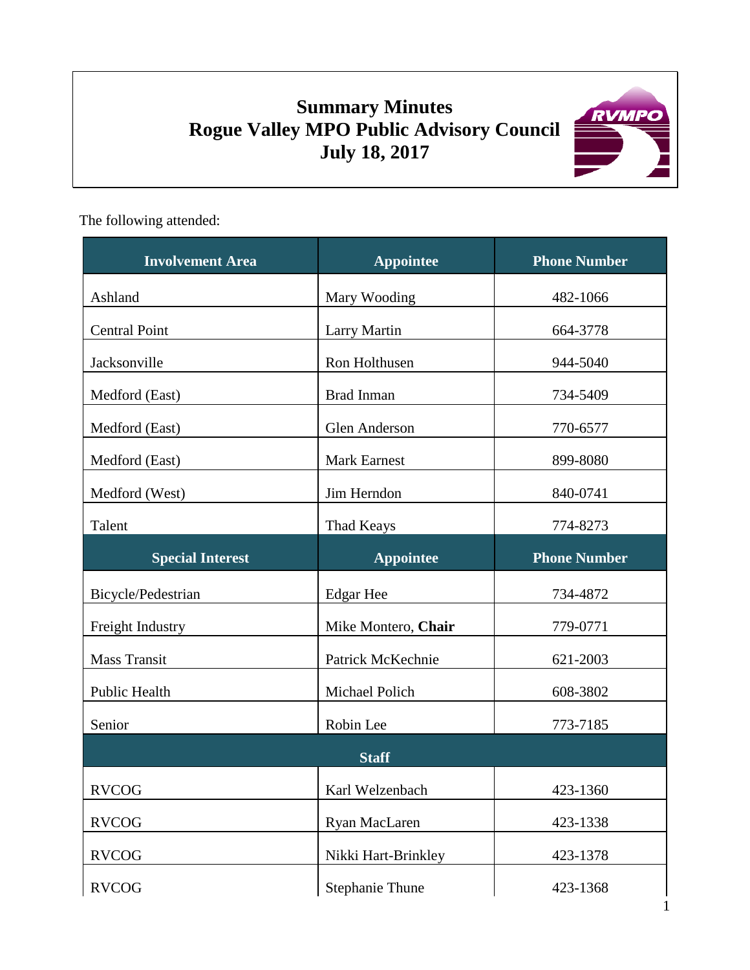# **Summary Minutes Rogue Valley MPO Public Advisory Council July 18, 2017**



The following attended:

| <b>Involvement Area</b> | <b>Appointee</b>       | <b>Phone Number</b> |
|-------------------------|------------------------|---------------------|
| Ashland                 | Mary Wooding           | 482-1066            |
| <b>Central Point</b>    | Larry Martin           | 664-3778            |
| Jacksonville            | Ron Holthusen          | 944-5040            |
| Medford (East)          | <b>Brad Inman</b>      | 734-5409            |
| Medford (East)          | Glen Anderson          | 770-6577            |
| Medford (East)          | <b>Mark Earnest</b>    | 899-8080            |
| Medford (West)          | Jim Herndon            | 840-0741            |
| Talent                  | Thad Keays             | 774-8273            |
| <b>Special Interest</b> | <b>Appointee</b>       | <b>Phone Number</b> |
| Bicycle/Pedestrian      | <b>Edgar Hee</b>       | 734-4872            |
| Freight Industry        | Mike Montero, Chair    | 779-0771            |
| <b>Mass Transit</b>     | Patrick McKechnie      | 621-2003            |
| Public Health           | Michael Polich         | 608-3802            |
| Senior                  | Robin Lee              | 773-7185            |
|                         | <b>Staff</b>           |                     |
| <b>RVCOG</b>            | Karl Welzenbach        | 423-1360            |
| <b>RVCOG</b>            | Ryan MacLaren          | 423-1338            |
| <b>RVCOG</b>            | Nikki Hart-Brinkley    | 423-1378            |
| <b>RVCOG</b>            | <b>Stephanie Thune</b> |                     |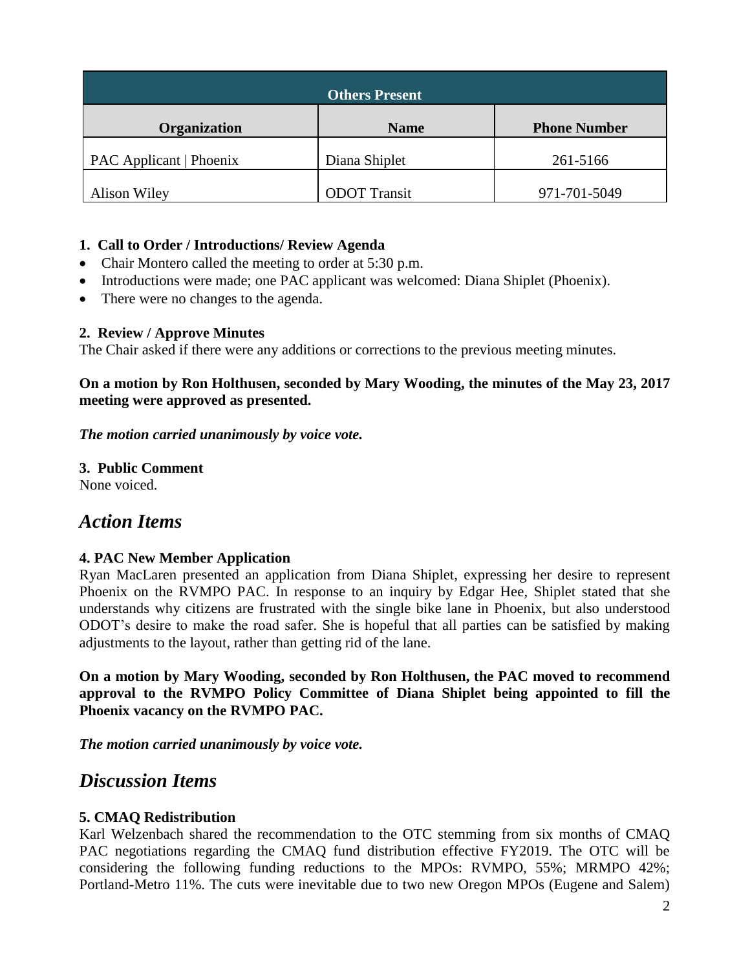| <b>Others Present</b>          |                     |                     |  |
|--------------------------------|---------------------|---------------------|--|
| <b>Organization</b>            | <b>Name</b>         | <b>Phone Number</b> |  |
| <b>PAC Applicant</b>   Phoenix | Diana Shiplet       | 261-5166            |  |
| Alison Wiley                   | <b>ODOT</b> Transit | 971-701-5049        |  |

#### **1. Call to Order / Introductions/ Review Agenda**

- Chair Montero called the meeting to order at 5:30 p.m.
- Introductions were made; one PAC applicant was welcomed: Diana Shiplet (Phoenix).
- There were no changes to the agenda.

#### **2. Review / Approve Minutes**

The Chair asked if there were any additions or corrections to the previous meeting minutes.

#### **On a motion by Ron Holthusen, seconded by Mary Wooding, the minutes of the May 23, 2017 meeting were approved as presented.**

#### *The motion carried unanimously by voice vote.*

**3. Public Comment** None voiced.

# *Action Items*

## **4. PAC New Member Application**

Ryan MacLaren presented an application from Diana Shiplet, expressing her desire to represent Phoenix on the RVMPO PAC. In response to an inquiry by Edgar Hee, Shiplet stated that she understands why citizens are frustrated with the single bike lane in Phoenix, but also understood ODOT's desire to make the road safer. She is hopeful that all parties can be satisfied by making adjustments to the layout, rather than getting rid of the lane.

**On a motion by Mary Wooding, seconded by Ron Holthusen, the PAC moved to recommend approval to the RVMPO Policy Committee of Diana Shiplet being appointed to fill the Phoenix vacancy on the RVMPO PAC.** 

*The motion carried unanimously by voice vote.*

# *Discussion Items*

## **5. CMAQ Redistribution**

Karl Welzenbach shared the recommendation to the OTC stemming from six months of CMAQ PAC negotiations regarding the CMAQ fund distribution effective FY2019. The OTC will be considering the following funding reductions to the MPOs: RVMPO, 55%; MRMPO 42%; Portland-Metro 11%. The cuts were inevitable due to two new Oregon MPOs (Eugene and Salem)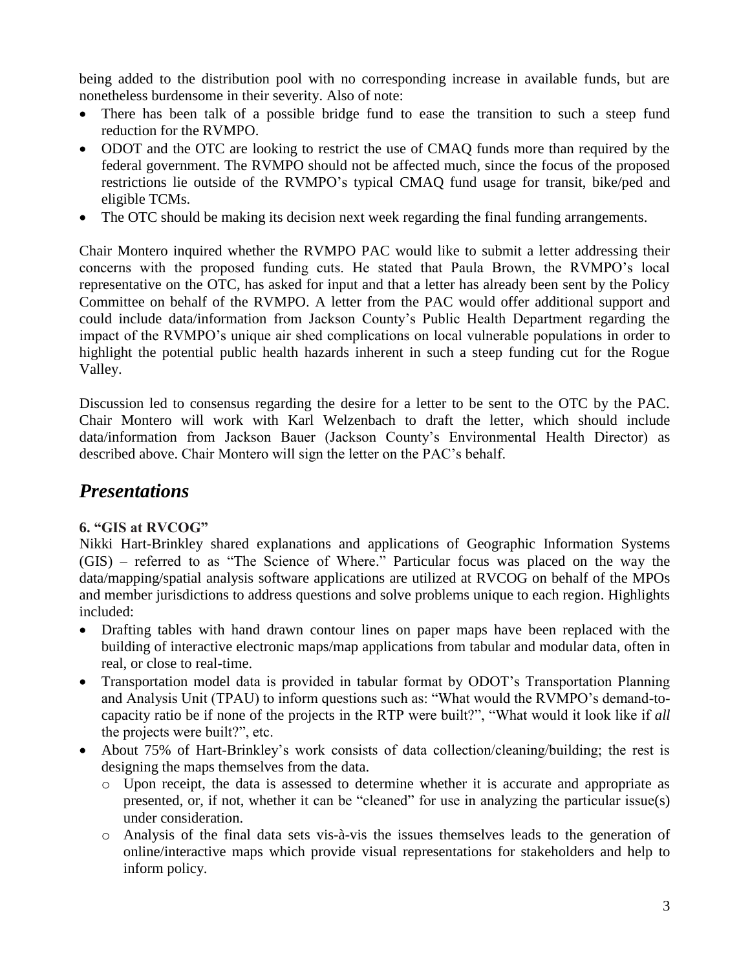being added to the distribution pool with no corresponding increase in available funds, but are nonetheless burdensome in their severity. Also of note:

- There has been talk of a possible bridge fund to ease the transition to such a steep fund reduction for the RVMPO.
- ODOT and the OTC are looking to restrict the use of CMAQ funds more than required by the federal government. The RVMPO should not be affected much, since the focus of the proposed restrictions lie outside of the RVMPO's typical CMAQ fund usage for transit, bike/ped and eligible TCMs.
- The OTC should be making its decision next week regarding the final funding arrangements.

Chair Montero inquired whether the RVMPO PAC would like to submit a letter addressing their concerns with the proposed funding cuts. He stated that Paula Brown, the RVMPO's local representative on the OTC, has asked for input and that a letter has already been sent by the Policy Committee on behalf of the RVMPO. A letter from the PAC would offer additional support and could include data/information from Jackson County's Public Health Department regarding the impact of the RVMPO's unique air shed complications on local vulnerable populations in order to highlight the potential public health hazards inherent in such a steep funding cut for the Rogue Valley.

Discussion led to consensus regarding the desire for a letter to be sent to the OTC by the PAC. Chair Montero will work with Karl Welzenbach to draft the letter, which should include data/information from Jackson Bauer (Jackson County's Environmental Health Director) as described above. Chair Montero will sign the letter on the PAC's behalf.

# *Presentations*

# **6. "GIS at RVCOG"**

Nikki Hart-Brinkley shared explanations and applications of Geographic Information Systems (GIS) – referred to as "The Science of Where." Particular focus was placed on the way the data/mapping/spatial analysis software applications are utilized at RVCOG on behalf of the MPOs and member jurisdictions to address questions and solve problems unique to each region. Highlights included:

- Drafting tables with hand drawn contour lines on paper maps have been replaced with the building of interactive electronic maps/map applications from tabular and modular data, often in real, or close to real-time.
- Transportation model data is provided in tabular format by ODOT's Transportation Planning and Analysis Unit (TPAU) to inform questions such as: "What would the RVMPO's demand-tocapacity ratio be if none of the projects in the RTP were built?", "What would it look like if *all* the projects were built?", etc.
- About 75% of Hart-Brinkley's work consists of data collection/cleaning/building; the rest is designing the maps themselves from the data.
	- o Upon receipt, the data is assessed to determine whether it is accurate and appropriate as presented, or, if not, whether it can be "cleaned" for use in analyzing the particular issue(s) under consideration.
	- o Analysis of the final data sets vis-à-vis the issues themselves leads to the generation of online/interactive maps which provide visual representations for stakeholders and help to inform policy.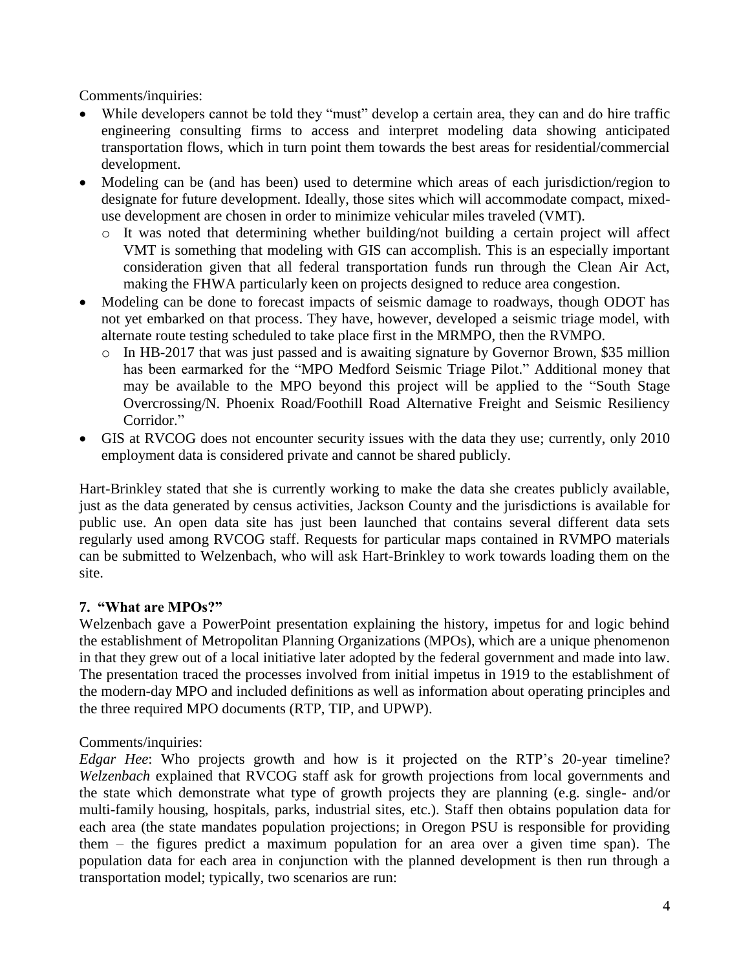Comments/inquiries:

- While developers cannot be told they "must" develop a certain area, they can and do hire traffic engineering consulting firms to access and interpret modeling data showing anticipated transportation flows, which in turn point them towards the best areas for residential/commercial development.
- Modeling can be (and has been) used to determine which areas of each jurisdiction/region to designate for future development. Ideally, those sites which will accommodate compact, mixeduse development are chosen in order to minimize vehicular miles traveled (VMT).
	- o It was noted that determining whether building/not building a certain project will affect VMT is something that modeling with GIS can accomplish. This is an especially important consideration given that all federal transportation funds run through the Clean Air Act, making the FHWA particularly keen on projects designed to reduce area congestion.
- Modeling can be done to forecast impacts of seismic damage to roadways, though ODOT has not yet embarked on that process. They have, however, developed a seismic triage model, with alternate route testing scheduled to take place first in the MRMPO, then the RVMPO.
	- o In HB-2017 that was just passed and is awaiting signature by Governor Brown, \$35 million has been earmarked for the "MPO Medford Seismic Triage Pilot." Additional money that may be available to the MPO beyond this project will be applied to the "South Stage Overcrossing/N. Phoenix Road/Foothill Road Alternative Freight and Seismic Resiliency Corridor."
- GIS at RVCOG does not encounter security issues with the data they use; currently, only 2010 employment data is considered private and cannot be shared publicly.

Hart-Brinkley stated that she is currently working to make the data she creates publicly available, just as the data generated by census activities, Jackson County and the jurisdictions is available for public use. An open data site has just been launched that contains several different data sets regularly used among RVCOG staff. Requests for particular maps contained in RVMPO materials can be submitted to Welzenbach, who will ask Hart-Brinkley to work towards loading them on the site.

# **7. "What are MPOs?"**

Welzenbach gave a PowerPoint presentation explaining the history, impetus for and logic behind the establishment of Metropolitan Planning Organizations (MPOs), which are a unique phenomenon in that they grew out of a local initiative later adopted by the federal government and made into law. The presentation traced the processes involved from initial impetus in 1919 to the establishment of the modern-day MPO and included definitions as well as information about operating principles and the three required MPO documents (RTP, TIP, and UPWP).

## Comments/inquiries:

*Edgar Hee*: Who projects growth and how is it projected on the RTP's 20-year timeline? *Welzenbach* explained that RVCOG staff ask for growth projections from local governments and the state which demonstrate what type of growth projects they are planning (e.g. single- and/or multi-family housing, hospitals, parks, industrial sites, etc.). Staff then obtains population data for each area (the state mandates population projections; in Oregon PSU is responsible for providing them – the figures predict a maximum population for an area over a given time span). The population data for each area in conjunction with the planned development is then run through a transportation model; typically, two scenarios are run: